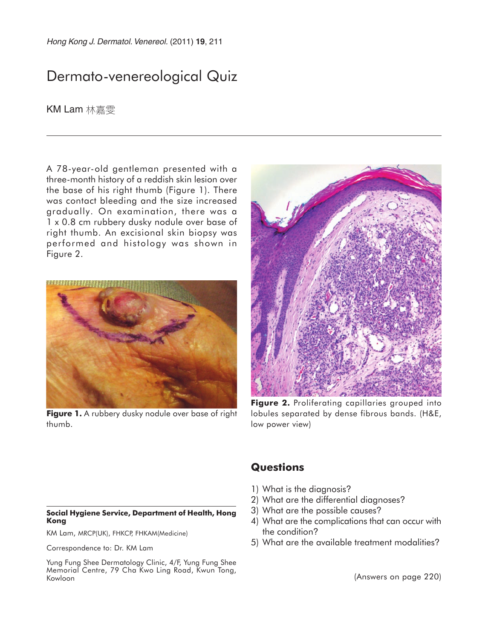# Dermato-venereological Quiz

KM Lam 林嘉雯

A 78-year-old gentleman presented with a three-month history of a reddish skin lesion over the base of his right thumb (Figure 1). There was contact bleeding and the size increased gradually. On examination, there was a 1 x 0.8 cm rubbery dusky nodule over base of right thumb. An excisional skin biopsy was performed and histology was shown in Figure 2.



**Figure 1.** A rubbery dusky nodule over base of right thumb.



**Figure 2.** Proliferating capillaries grouped into lobules separated by dense fibrous bands. (H&E, low power view)

#### **Social Hygiene Service, Department of Health, Hong Kong**

KM Lam, MRCP(UK), FHKCP, FHKAM(Medicine)

Correspondence to: Dr. KM Lam

Yung Fung Shee Dermatology Clinic, 4/F, Yung Fung Shee Memorial Centre, 79 Cha Kwo Ling Road, Kwun Tong, Kowloon

### **Questions**

- 1) What is the diagnosis?
- 2) What are the differential diagnoses?
- 3) What are the possible causes?
- 4) What are the complications that can occur with the condition?
- 5) What are the available treatment modalities?